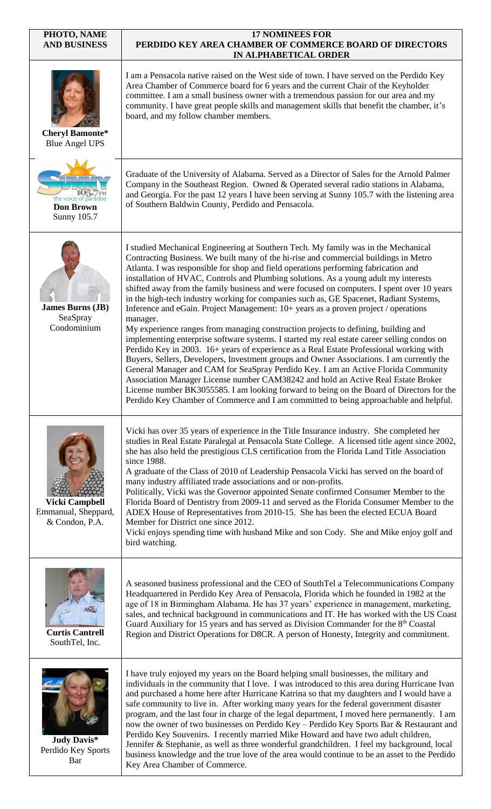| PHOTO, NAME<br><b>AND BUSINESS</b>                             | <b>17 NOMINEES FOR</b><br>PERDIDO KEY AREA CHAMBER OF COMMERCE BOARD OF DIRECTORS<br>IN ALPHABETICAL ORDER                                                                                                                                                                                                                                                                                                                                                                                                                                                                                                                                                                                                                                                                                                                                                                                                                                                                                                                                                                                                                                                                                                                                                                                                                                                                                         |
|----------------------------------------------------------------|----------------------------------------------------------------------------------------------------------------------------------------------------------------------------------------------------------------------------------------------------------------------------------------------------------------------------------------------------------------------------------------------------------------------------------------------------------------------------------------------------------------------------------------------------------------------------------------------------------------------------------------------------------------------------------------------------------------------------------------------------------------------------------------------------------------------------------------------------------------------------------------------------------------------------------------------------------------------------------------------------------------------------------------------------------------------------------------------------------------------------------------------------------------------------------------------------------------------------------------------------------------------------------------------------------------------------------------------------------------------------------------------------|
| <b>Cheryl Bamonte*</b><br><b>Blue Angel UPS</b>                | I am a Pensacola native raised on the West side of town. I have served on the Perdido Key<br>Area Chamber of Commerce board for 6 years and the current Chair of the Keyholder<br>committee. I am a small business owner with a tremendous passion for our area and my<br>community. I have great people skills and management skills that benefit the chamber, it's<br>board, and my follow chamber members.                                                                                                                                                                                                                                                                                                                                                                                                                                                                                                                                                                                                                                                                                                                                                                                                                                                                                                                                                                                      |
| the voice of paradise<br><b>Don Brown</b><br>Sunny 105.7       | Graduate of the University of Alabama. Served as a Director of Sales for the Arnold Palmer<br>Company in the Southeast Region. Owned & Operated several radio stations in Alabama,<br>and Georgia. For the past 12 years I have been serving at Sunny 105.7 with the listening area<br>of Southern Baldwin County, Perdido and Pensacola.                                                                                                                                                                                                                                                                                                                                                                                                                                                                                                                                                                                                                                                                                                                                                                                                                                                                                                                                                                                                                                                          |
| <b>James Burns (JB)</b><br>SeaSpray<br>Condominium             | I studied Mechanical Engineering at Southern Tech. My family was in the Mechanical<br>Contracting Business. We built many of the hi-rise and commercial buildings in Metro<br>Atlanta. I was responsible for shop and field operations performing fabrication and<br>installation of HVAC, Controls and Plumbing solutions. As a young adult my interests<br>shifted away from the family business and were focused on computers. I spent over 10 years<br>in the high-tech industry working for companies such as, GE Spacenet, Radiant Systems,<br>Inference and eGain. Project Management: 10+ years as a proven project / operations<br>manager.<br>My experience ranges from managing construction projects to defining, building and<br>implementing enterprise software systems. I started my real estate career selling condos on<br>Perdido Key in 2003. 16+ years of experience as a Real Estate Professional working with<br>Buyers, Sellers, Developers, Investment groups and Owner Associations. I am currently the<br>General Manager and CAM for SeaSpray Perdido Key. I am an Active Florida Community<br>Association Manager License number CAM38242 and hold an Active Real Estate Broker<br>License number BK3055585. I am looking forward to being on the Board of Directors for the<br>Perdido Key Chamber of Commerce and I am committed to being approachable and helpful. |
| <b>Vicki Campbell</b><br>Emmanual, Sheppard,<br>& Condon, P.A. | Vicki has over 35 years of experience in the Title Insurance industry. She completed her<br>studies in Real Estate Paralegal at Pensacola State College. A licensed title agent since 2002,<br>she has also held the prestigious CLS certification from the Florida Land Title Association<br>since 1988.<br>A graduate of the Class of 2010 of Leadership Pensacola Vicki has served on the board of<br>many industry affiliated trade associations and or non-profits.<br>Politically, Vicki was the Governor appointed Senate confirmed Consumer Member to the<br>Florida Board of Dentistry from 2009-11 and served as the Florida Consumer Member to the<br>ADEX House of Representatives from 2010-15. She has been the elected ECUA Board<br>Member for District one since 2012.<br>Vicki enjoys spending time with husband Mike and son Cody. She and Mike enjoy golf and<br>bird watching.                                                                                                                                                                                                                                                                                                                                                                                                                                                                                                |
| <b>Curtis Cantrell</b><br>SouthTel, Inc.                       | A seasoned business professional and the CEO of SouthTel a Telecommunications Company<br>Headquartered in Perdido Key Area of Pensacola, Florida which he founded in 1982 at the<br>age of 18 in Birmingham Alabama. He has 37 years' experience in management, marketing,<br>sales, and technical background in communications and IT. He has worked with the US Coast<br>Guard Auxiliary for 15 years and has served as Division Commander for the 8 <sup>th</sup> Coastal<br>Region and District Operations for D8CR. A person of Honesty, Integrity and commitment.                                                                                                                                                                                                                                                                                                                                                                                                                                                                                                                                                                                                                                                                                                                                                                                                                            |
| <b>Judy Davis*</b><br>Perdido Key Sports<br>Bar                | I have truly enjoyed my years on the Board helping small businesses, the military and<br>individuals in the community that I love. I was introduced to this area during Hurricane Ivan<br>and purchased a home here after Hurricane Katrina so that my daughters and I would have a<br>safe community to live in. After working many years for the federal government disaster<br>program, and the last four in charge of the legal department, I moved here permanently. I am<br>now the owner of two businesses on Perdido Key - Perdido Key Sports Bar & Restaurant and<br>Perdido Key Souvenirs. I recently married Mike Howard and have two adult children,<br>Jennifer & Stephanie, as well as three wonderful grandchildren. I feel my background, local<br>business knowledge and the true love of the area would continue to be an asset to the Perdido<br>Key Area Chamber of Commerce.                                                                                                                                                                                                                                                                                                                                                                                                                                                                                                  |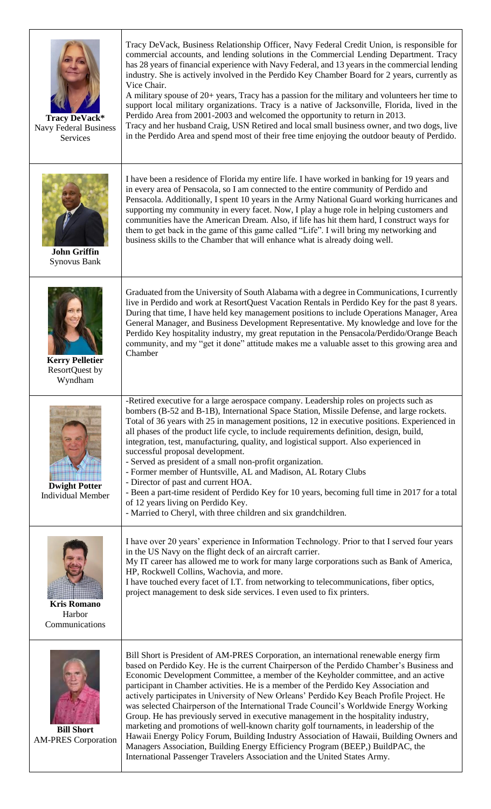| Tracy DeVack*<br><b>Navy Federal Business</b><br>Services | Tracy DeVack, Business Relationship Officer, Navy Federal Credit Union, is responsible for<br>commercial accounts, and lending solutions in the Commercial Lending Department. Tracy<br>has 28 years of financial experience with Navy Federal, and 13 years in the commercial lending<br>industry. She is actively involved in the Perdido Key Chamber Board for 2 years, currently as<br>Vice Chair.<br>A military spouse of 20+ years, Tracy has a passion for the military and volunteers her time to<br>support local military organizations. Tracy is a native of Jacksonville, Florida, lived in the<br>Perdido Area from 2001-2003 and welcomed the opportunity to return in 2013.<br>Tracy and her husband Craig, USN Retired and local small business owner, and two dogs, live<br>in the Perdido Area and spend most of their free time enjoying the outdoor beauty of Perdido. |
|-----------------------------------------------------------|--------------------------------------------------------------------------------------------------------------------------------------------------------------------------------------------------------------------------------------------------------------------------------------------------------------------------------------------------------------------------------------------------------------------------------------------------------------------------------------------------------------------------------------------------------------------------------------------------------------------------------------------------------------------------------------------------------------------------------------------------------------------------------------------------------------------------------------------------------------------------------------------|
| <b>John Griffin</b><br><b>Synovus Bank</b>                | I have been a residence of Florida my entire life. I have worked in banking for 19 years and<br>in every area of Pensacola, so I am connected to the entire community of Perdido and<br>Pensacola. Additionally, I spent 10 years in the Army National Guard working hurricanes and<br>supporting my community in every facet. Now, I play a huge role in helping customers and<br>communities have the American Dream. Also, if life has hit them hard, I construct ways for<br>them to get back in the game of this game called "Life". I will bring my networking and<br>business skills to the Chamber that will enhance what is already doing well.                                                                                                                                                                                                                                   |
| <b>Kerry Pelletier</b><br>ResortQuest by<br>Wyndham       | Graduated from the University of South Alabama with a degree in Communications, I currently<br>live in Perdido and work at ResortQuest Vacation Rentals in Perdido Key for the past 8 years.<br>During that time, I have held key management positions to include Operations Manager, Area<br>General Manager, and Business Development Representative. My knowledge and love for the<br>Perdido Key hospitality industry, my great reputation in the Pensacola/Perdido/Orange Beach<br>community, and my "get it done" attitude makes me a valuable asset to this growing area and<br>Chamber                                                                                                                                                                                                                                                                                             |
|                                                           | -Retired executive for a large aerospace company. Leadership roles on projects such as<br>bombers (B-52 and B-1B), International Space Station, Missile Defense, and large rockets.<br>Total of 36 years with 25 in management positions, 12 in executive positions. Experienced in<br>all phases of the product life cycle, to include requirements definition, design, build,<br>integration, test, manufacturing, quality, and logistical support. Also experienced in<br>successful proposal development.<br>- Served as president of a small non-profit organization.                                                                                                                                                                                                                                                                                                                 |
| <b>Dwight Potter</b><br><b>Individual Member</b>          | - Former member of Huntsville, AL and Madison, AL Rotary Clubs<br>- Director of past and current HOA.<br>- Been a part-time resident of Perdido Key for 10 years, becoming full time in 2017 for a total<br>of 12 years living on Perdido Key.<br>- Married to Cheryl, with three children and six grandchildren.                                                                                                                                                                                                                                                                                                                                                                                                                                                                                                                                                                          |
| <b>Kris Romano</b><br>Harbor<br>Communications            | I have over 20 years' experience in Information Technology. Prior to that I served four years<br>in the US Navy on the flight deck of an aircraft carrier.<br>My IT career has allowed me to work for many large corporations such as Bank of America,<br>HP, Rockwell Collins, Wachovia, and more.<br>I have touched every facet of I.T. from networking to telecommunications, fiber optics,<br>project management to desk side services. I even used to fix printers.                                                                                                                                                                                                                                                                                                                                                                                                                   |